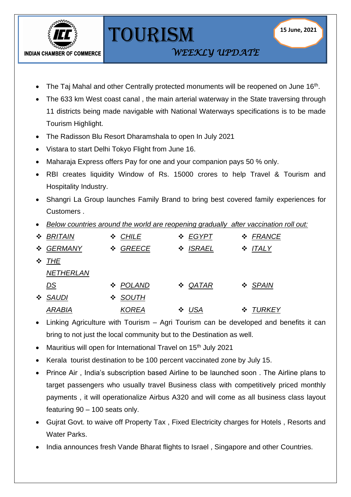

TOURISM

*WEEKLY UPDATE* 

- The Taj Mahal and other Centrally protected monuments will be reopened on June 16<sup>th</sup>.
- The 633 km West coast canal , the main arterial waterway in the State traversing through 11 districts being made navigable with National Waterways specifications is to be made Tourism Highlight.
- The Radisson Blu Resort Dharamshala to open In July 2021
- Vistara to start Delhi Tokyo Flight from June 16.
- Maharaja Express offers Pay for one and your companion pays 50 % only.
- RBI creates liquidity Window of Rs. 15000 crores to help Travel & Tourism and Hospitality Industry.
- Shangri La Group launches Family Brand to bring best covered family experiences for Customers .
- *Below countries around the world are reopening gradually after vaccination roll out:*

|   | ❖ BRITAIN        | ❖ CHILE      | ❖ EGYPT      | ❖ FRANCE     |
|---|------------------|--------------|--------------|--------------|
|   | ❖ GERMANY        | ❖ GREECE     | ❖ ISRAEL     | $\div$ ITALY |
|   | $\div$ THE       |              |              |              |
|   | <b>NETHERLAN</b> |              |              |              |
|   | <u>DS</u>        | ❖ POLAND     | $\div$ QATAR | ❖ SPAIN      |
| 豪 | SAUDI            | ❖ SOUTH      |              |              |
|   | <b>ARABIA</b>    | <b>KOREA</b> | $\div$ USA   | ❖ TURKEY     |

- Linking Agriculture with Tourism  $-$  Agri Tourism can be developed and benefits it can bring to not just the local community but to the Destination as well.
- Mauritius will open for International Travel on 15<sup>th</sup> July 2021
- Kerala tourist destination to be 100 percent vaccinated zone by July 15.
- Prince Air , India's subscription based Airline to be launched soon . The Airline plans to target passengers who usually travel Business class with competitively priced monthly payments , it will operationalize Airbus A320 and will come as all business class layout featuring 90 – 100 seats only.
- Gujrat Govt. to waive off Property Tax , Fixed Electricity charges for Hotels , Resorts and Water Parks.
- India announces fresh Vande Bharat flights to Israel , Singapore and other Countries.